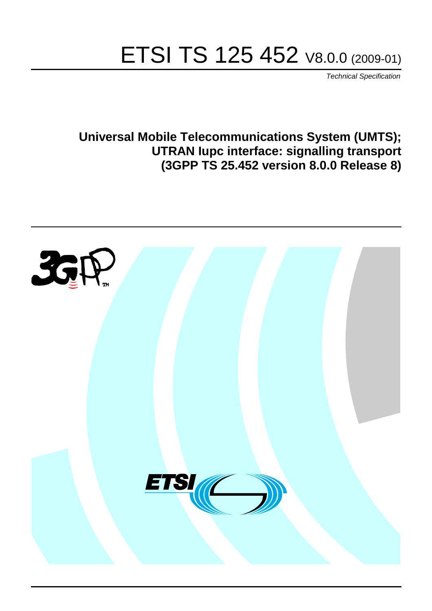# ETSI TS 125 452 V8.0.0 (2009-01)

*Technical Specification*

**Universal Mobile Telecommunications System (UMTS); UTRAN Iupc interface: signalling transport (3GPP TS 25.452 version 8.0.0 Release 8)**

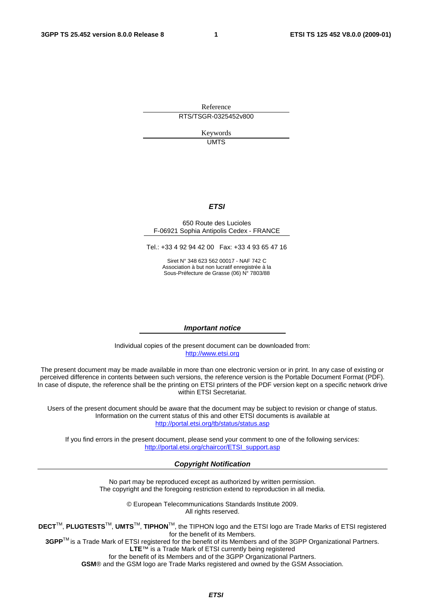Reference RTS/TSGR-0325452v800

> Keywords UMTS

#### *ETSI*

#### 650 Route des Lucioles F-06921 Sophia Antipolis Cedex - FRANCE

Tel.: +33 4 92 94 42 00 Fax: +33 4 93 65 47 16

Siret N° 348 623 562 00017 - NAF 742 C Association à but non lucratif enregistrée à la Sous-Préfecture de Grasse (06) N° 7803/88

#### *Important notice*

Individual copies of the present document can be downloaded from: [http://www.etsi.org](http://www.etsi.org/)

The present document may be made available in more than one electronic version or in print. In any case of existing or perceived difference in contents between such versions, the reference version is the Portable Document Format (PDF). In case of dispute, the reference shall be the printing on ETSI printers of the PDF version kept on a specific network drive within ETSI Secretariat.

Users of the present document should be aware that the document may be subject to revision or change of status. Information on the current status of this and other ETSI documents is available at <http://portal.etsi.org/tb/status/status.asp>

If you find errors in the present document, please send your comment to one of the following services: [http://portal.etsi.org/chaircor/ETSI\\_support.asp](http://portal.etsi.org/chaircor/ETSI_support.asp)

#### *Copyright Notification*

No part may be reproduced except as authorized by written permission. The copyright and the foregoing restriction extend to reproduction in all media.

> © European Telecommunications Standards Institute 2009. All rights reserved.

**DECT**TM, **PLUGTESTS**TM, **UMTS**TM, **TIPHON**TM, the TIPHON logo and the ETSI logo are Trade Marks of ETSI registered for the benefit of its Members.

**3GPP**TM is a Trade Mark of ETSI registered for the benefit of its Members and of the 3GPP Organizational Partners. **LTE**™ is a Trade Mark of ETSI currently being registered

for the benefit of its Members and of the 3GPP Organizational Partners.

**GSM**® and the GSM logo are Trade Marks registered and owned by the GSM Association.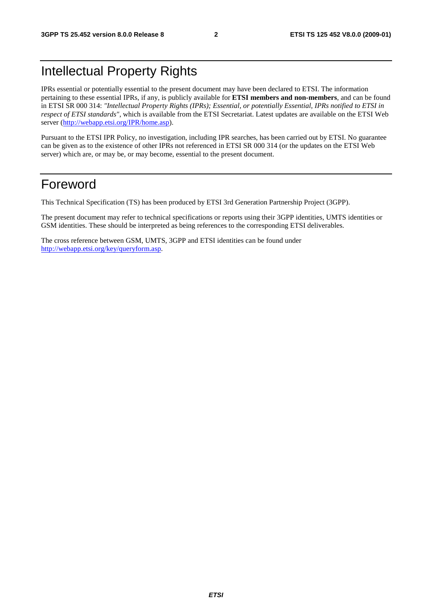### Intellectual Property Rights

IPRs essential or potentially essential to the present document may have been declared to ETSI. The information pertaining to these essential IPRs, if any, is publicly available for **ETSI members and non-members**, and can be found in ETSI SR 000 314: *"Intellectual Property Rights (IPRs); Essential, or potentially Essential, IPRs notified to ETSI in respect of ETSI standards"*, which is available from the ETSI Secretariat. Latest updates are available on the ETSI Web server ([http://webapp.etsi.org/IPR/home.asp\)](http://webapp.etsi.org/IPR/home.asp).

Pursuant to the ETSI IPR Policy, no investigation, including IPR searches, has been carried out by ETSI. No guarantee can be given as to the existence of other IPRs not referenced in ETSI SR 000 314 (or the updates on the ETSI Web server) which are, or may be, or may become, essential to the present document.

#### Foreword

This Technical Specification (TS) has been produced by ETSI 3rd Generation Partnership Project (3GPP).

The present document may refer to technical specifications or reports using their 3GPP identities, UMTS identities or GSM identities. These should be interpreted as being references to the corresponding ETSI deliverables.

The cross reference between GSM, UMTS, 3GPP and ETSI identities can be found under [http://webapp.etsi.org/key/queryform.asp.](http://webapp.etsi.org/key/queryform.asp)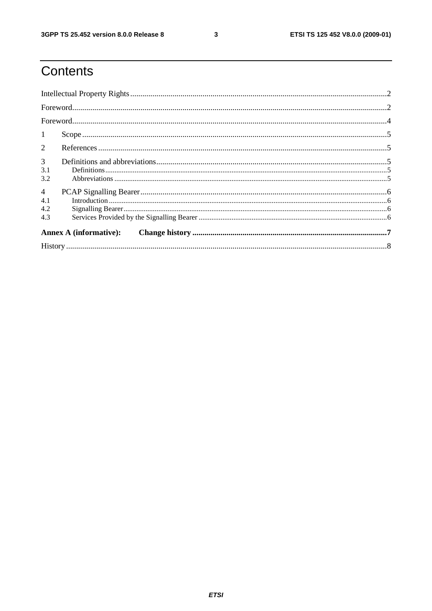$\mathbf{3}$ 

# Contents

| $\mathbf{1}$                  |  |  |  |
|-------------------------------|--|--|--|
| $\overline{2}$                |  |  |  |
| $\mathfrak{Z}$                |  |  |  |
| 3.1<br>3.2                    |  |  |  |
| $\overline{4}$<br>4.1         |  |  |  |
| 4.2<br>4.3                    |  |  |  |
| <b>Annex A (informative):</b> |  |  |  |
|                               |  |  |  |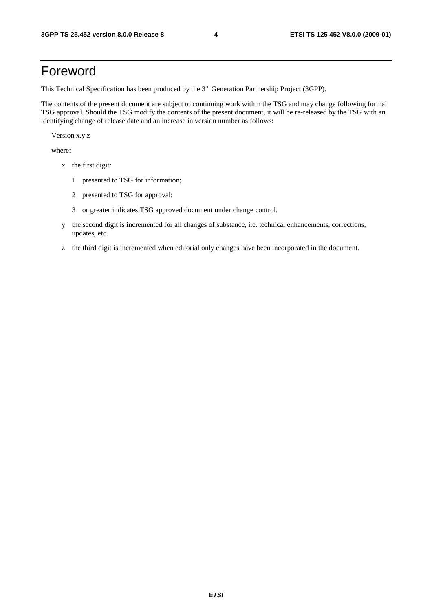### Foreword

This Technical Specification has been produced by the 3<sup>rd</sup> Generation Partnership Project (3GPP).

The contents of the present document are subject to continuing work within the TSG and may change following formal TSG approval. Should the TSG modify the contents of the present document, it will be re-released by the TSG with an identifying change of release date and an increase in version number as follows:

Version x.y.z

where:

- x the first digit:
	- 1 presented to TSG for information;
	- 2 presented to TSG for approval;
	- 3 or greater indicates TSG approved document under change control.
- y the second digit is incremented for all changes of substance, i.e. technical enhancements, corrections, updates, etc.
- z the third digit is incremented when editorial only changes have been incorporated in the document.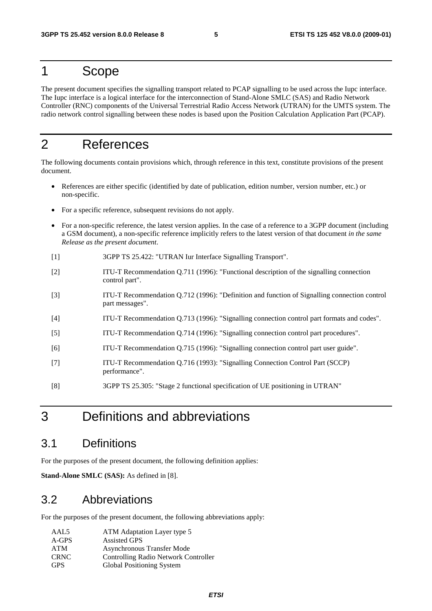#### 1 Scope

The present document specifies the signalling transport related to PCAP signalling to be used across the Iupc interface. The Iupc interface is a logical interface for the interconnection of Stand-Alone SMLC (SAS) and Radio Network Controller (RNC) components of the Universal Terrestrial Radio Access Network (UTRAN) for the UMTS system. The radio network control signalling between these nodes is based upon the Position Calculation Application Part (PCAP).

### 2 References

The following documents contain provisions which, through reference in this text, constitute provisions of the present document.

- References are either specific (identified by date of publication, edition number, version number, etc.) or non-specific.
- For a specific reference, subsequent revisions do not apply.
- For a non-specific reference, the latest version applies. In the case of a reference to a 3GPP document (including a GSM document), a non-specific reference implicitly refers to the latest version of that document *in the same Release as the present document*.
- [1] 3GPP TS 25.422: "UTRAN Iur Interface Signalling Transport".
- [2] ITU-T Recommendation Q.711 (1996): "Functional description of the signalling connection control part".
- [3] ITU-T Recommendation Q.712 (1996): "Definition and function of Signalling connection control part messages".
- [4] ITU-T Recommendation Q.713 (1996): "Signalling connection control part formats and codes".
- [5] ITU-T Recommendation Q.714 (1996): "Signalling connection control part procedures".
- [6] ITU-T Recommendation Q.715 (1996): "Signalling connection control part user guide".
- [7] ITU-T Recommendation Q.716 (1993): "Signalling Connection Control Part (SCCP) performance".
- [8] 3GPP TS 25.305: "Stage 2 functional specification of UE positioning in UTRAN"

### 3 Definitions and abbreviations

#### 3.1 Definitions

For the purposes of the present document, the following definition applies:

**Stand-Alone SMLC (SAS):** As defined in [8].

#### 3.2 Abbreviations

For the purposes of the present document, the following abbreviations apply:

| AAL5        | ATM Adaptation Layer type 5          |
|-------------|--------------------------------------|
| $A-GPS$     | <b>Assisted GPS</b>                  |
| <b>ATM</b>  | Asynchronous Transfer Mode           |
| <b>CRNC</b> | Controlling Radio Network Controller |
| <b>GPS</b>  | Global Positioning System            |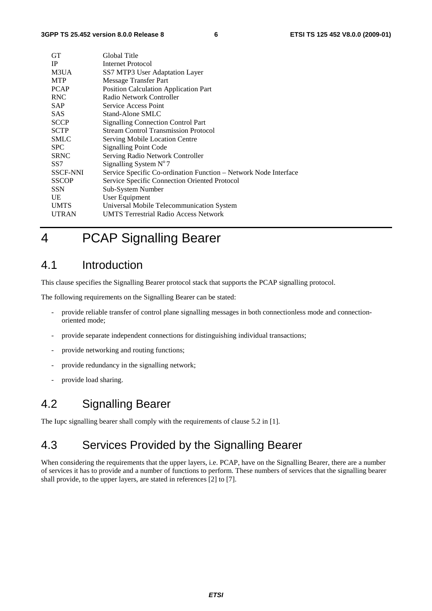| GТ              | Global Title                                                     |
|-----------------|------------------------------------------------------------------|
| <b>IP</b>       | <b>Internet Protocol</b>                                         |
| M3UA            | SS7 MTP3 User Adaptation Layer                                   |
| <b>MTP</b>      | Message Transfer Part                                            |
| <b>PCAP</b>     | Position Calculation Application Part                            |
| <b>RNC</b>      | Radio Network Controller                                         |
| <b>SAP</b>      | Service Access Point                                             |
| <b>SAS</b>      | Stand-Alone SMLC                                                 |
| <b>SCCP</b>     | <b>Signalling Connection Control Part</b>                        |
| <b>SCTP</b>     | <b>Stream Control Transmission Protocol</b>                      |
| <b>SMLC</b>     | Serving Mobile Location Centre                                   |
| <b>SPC</b>      | Signalling Point Code                                            |
| <b>SRNC</b>     | Serving Radio Network Controller                                 |
| SS <sub>7</sub> | Signalling System $N^{\circ}$ 7                                  |
| <b>SSCF-NNI</b> | Service Specific Co-ordination Function - Network Node Interface |
| <b>SSCOP</b>    | Service Specific Connection Oriented Protocol                    |
| <b>SSN</b>      | Sub-System Number                                                |
| UE              | User Equipment                                                   |
| <b>UMTS</b>     | Universal Mobile Telecommunication System                        |
| <b>UTRAN</b>    | <b>UMTS Terrestrial Radio Access Network</b>                     |
|                 |                                                                  |

# 4 PCAP Signalling Bearer

#### 4.1 Introduction

This clause specifies the Signalling Bearer protocol stack that supports the PCAP signalling protocol.

The following requirements on the Signalling Bearer can be stated:

- provide reliable transfer of control plane signalling messages in both connectionless mode and connectionoriented mode;
- provide separate independent connections for distinguishing individual transactions;
- provide networking and routing functions;
- provide redundancy in the signalling network;
- provide load sharing.

#### 4.2 Signalling Bearer

The Iupc signalling bearer shall comply with the requirements of clause 5.2 in [1].

#### 4.3 Services Provided by the Signalling Bearer

When considering the requirements that the upper layers, i.e. PCAP, have on the Signalling Bearer, there are a number of services it has to provide and a number of functions to perform. These numbers of services that the signalling bearer shall provide, to the upper layers, are stated in references [2] to [7].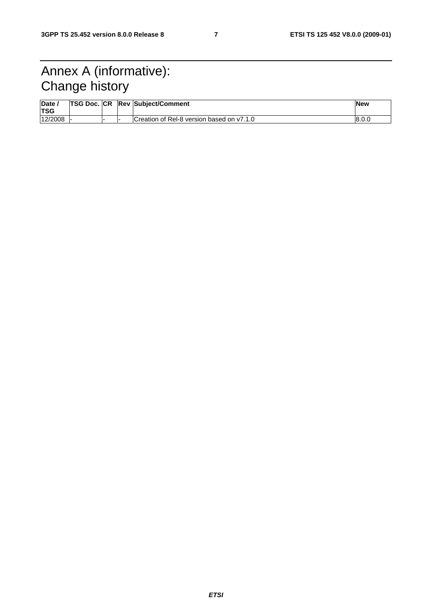## Annex A (informative): Change history

| Date<br><b>TSG</b> | <b>TSG Doc. CR</b> |  | <b>Rev Subject/Comment</b>                | <b>New</b> |
|--------------------|--------------------|--|-------------------------------------------|------------|
| 12/2008            |                    |  | Creation of Rel-8 version based on y7.1.0 | 8.0.0      |